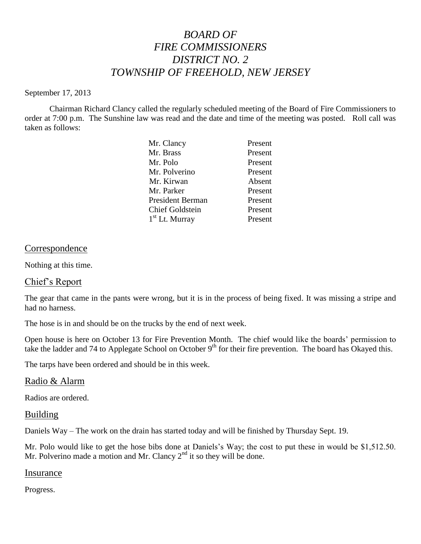# *BOARD OF FIRE COMMISSIONERS DISTRICT NO. 2 TOWNSHIP OF FREEHOLD, NEW JERSEY*

#### September 17, 2013

Chairman Richard Clancy called the regularly scheduled meeting of the Board of Fire Commissioners to order at 7:00 p.m. The Sunshine law was read and the date and time of the meeting was posted. Roll call was taken as follows:

| Mr. Clancy              | Present |
|-------------------------|---------|
| Mr. Brass               | Present |
| Mr. Polo                | Present |
| Mr. Polverino           | Present |
| Mr. Kirwan              | Absent  |
| Mr. Parker              | Present |
| <b>President Berman</b> | Present |
| <b>Chief Goldstein</b>  | Present |
| $1st$ Lt. Murray        | Present |
|                         |         |

### **Correspondence**

Nothing at this time.

### Chief's Report

The gear that came in the pants were wrong, but it is in the process of being fixed. It was missing a stripe and had no harness.

The hose is in and should be on the trucks by the end of next week.

Open house is here on October 13 for Fire Prevention Month. The chief would like the boards' permission to take the ladder and 74 to Applegate School on October  $9<sup>th</sup>$  for their fire prevention. The board has Okayed this.

The tarps have been ordered and should be in this week.

### Radio & Alarm

Radios are ordered.

### Building

Daniels Way – The work on the drain has started today and will be finished by Thursday Sept. 19.

Mr. Polo would like to get the hose bibs done at Daniels's Way; the cost to put these in would be \$1,512.50. Mr. Polverino made a motion and Mr. Clancy  $2<sup>nd</sup>$  it so they will be done.

### Insurance

Progress.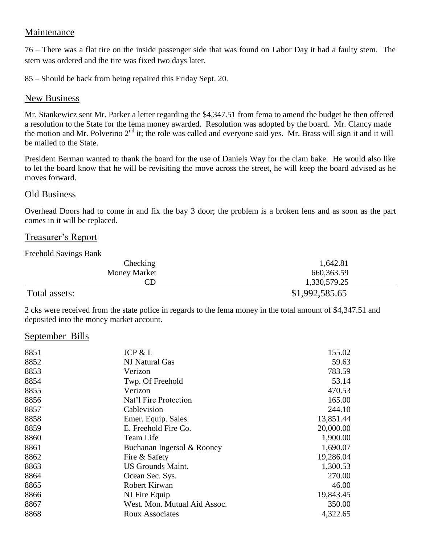## Maintenance

76 – There was a flat tire on the inside passenger side that was found on Labor Day it had a faulty stem. The stem was ordered and the tire was fixed two days later.

85 – Should be back from being repaired this Friday Sept. 20.

## New Business

Mr. Stankewicz sent Mr. Parker a letter regarding the \$4,347.51 from fema to amend the budget he then offered a resolution to the State for the fema money awarded. Resolution was adopted by the board. Mr. Clancy made the motion and Mr. Polverino  $2<sup>nd</sup>$  it; the role was called and everyone said yes. Mr. Brass will sign it and it will be mailed to the State.

President Berman wanted to thank the board for the use of Daniels Way for the clam bake. He would also like to let the board know that he will be revisiting the move across the street, he will keep the board advised as he moves forward.

## Old Business

Overhead Doors had to come in and fix the bay 3 door; the problem is a broken lens and as soon as the part comes in it will be replaced.

## Treasurer's Report

Freehold Savings Bank

| Checking            | 1,642.81       |
|---------------------|----------------|
| <b>Money Market</b> | 660, 363.59    |
| CD                  | 1,330,579.25   |
| Total assets:       | \$1,992,585.65 |

2 cks were received from the state police in regards to the fema money in the total amount of \$4,347.51 and deposited into the money market account.

### September Bills

| 8851 | JCP & L                      | 155.02    |
|------|------------------------------|-----------|
| 8852 | NJ Natural Gas               | 59.63     |
| 8853 | Verizon                      | 783.59    |
| 8854 | Twp. Of Freehold             | 53.14     |
| 8855 | Verizon                      | 470.53    |
| 8856 | Nat'l Fire Protection        | 165.00    |
| 8857 | Cablevision                  | 244.10    |
| 8858 | Emer. Equip. Sales           | 13,851.44 |
| 8859 | E. Freehold Fire Co.         | 20,000.00 |
| 8860 | Team Life                    | 1,900.00  |
| 8861 | Buchanan Ingersol & Rooney   | 1,690.07  |
| 8862 | Fire & Safety                | 19,286.04 |
| 8863 | <b>US Grounds Maint.</b>     | 1,300.53  |
| 8864 | Ocean Sec. Sys.              | 270.00    |
| 8865 | Robert Kirwan                | 46.00     |
| 8866 | NJ Fire Equip                | 19,843.45 |
| 8867 | West. Mon. Mutual Aid Assoc. | 350.00    |
| 8868 | <b>Roux Associates</b>       | 4,322.65  |
|      |                              |           |